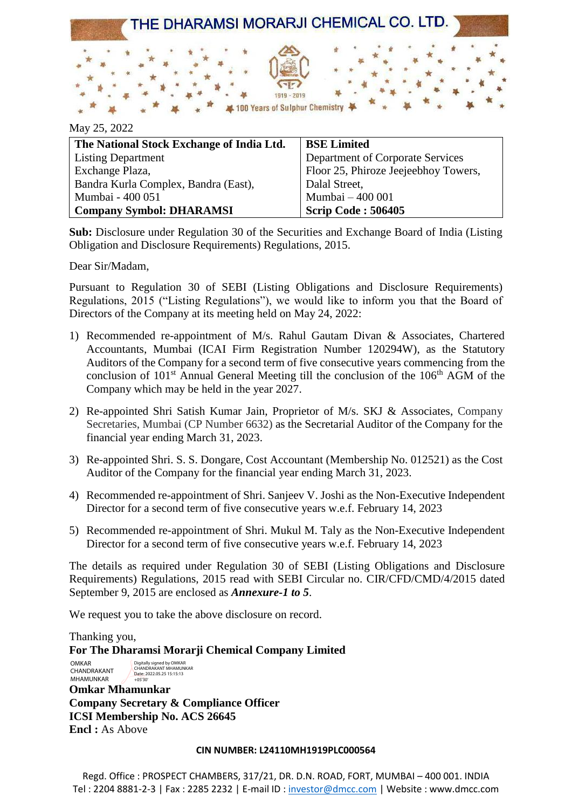

| The National Stock Exchange of India Ltd. | <b>BSE Limited</b>                   |
|-------------------------------------------|--------------------------------------|
| <b>Listing Department</b>                 | Department of Corporate Services     |
| Exchange Plaza,                           | Floor 25, Phiroze Jeejeebhoy Towers, |
| Bandra Kurla Complex, Bandra (East),      | Dalal Street,                        |
| Mumbai - 400 051                          | Mumbai - 400 001                     |
| <b>Company Symbol: DHARAMSI</b>           | <b>Scrip Code: 506405</b>            |

**Sub:** Disclosure under Regulation 30 of the Securities and Exchange Board of India (Listing Obligation and Disclosure Requirements) Regulations, 2015.

Dear Sir/Madam,

May 25, 2022

Pursuant to Regulation 30 of SEBI (Listing Obligations and Disclosure Requirements) Regulations, 2015 ("Listing Regulations"), we would like to inform you that the Board of Directors of the Company at its meeting held on May 24, 2022:

- 1) Recommended re-appointment of M/s. Rahul Gautam Divan & Associates, Chartered Accountants, Mumbai (ICAI Firm Registration Number 120294W), as the Statutory Auditors of the Company for a second term of five consecutive years commencing from the conclusion of  $101<sup>st</sup>$  Annual General Meeting till the conclusion of the  $106<sup>th</sup>$  AGM of the Company which may be held in the year 2027.
- 2) Re-appointed Shri Satish Kumar Jain, Proprietor of M/s. SKJ & Associates, Company Secretaries, Mumbai (CP Number 6632) as the Secretarial Auditor of the Company for the financial year ending March 31, 2023.
- 3) Re-appointed Shri. S. S. Dongare, Cost Accountant (Membership No. 012521) as the Cost Auditor of the Company for the financial year ending March 31, 2023.
- 4) Recommended re-appointment of Shri. Sanjeev V. Joshi as the Non-Executive Independent Director for a second term of five consecutive years w.e.f. February 14, 2023
- 5) Recommended re-appointment of Shri. Mukul M. Taly as the Non-Executive Independent Director for a second term of five consecutive years w.e.f. February 14, 2023

The details as required under Regulation 30 of SEBI (Listing Obligations and Disclosure Requirements) Regulations, 2015 read with SEBI Circular no. CIR/CFD/CMD/4/2015 dated September 9, 2015 are enclosed as *Annexure-1 to 5*.

We request you to take the above disclosure on record.

Thanking you, **For The Dharamsi Morarji Chemical Company Limited Omkar Mhamunkar OMKAR** CHANDRAKANT MHAMUNKAR Digitally signed by OMKAR CHANDRAKANT MHAMUNKAR Date: 2022.05.25 15:15:13 +05'30'

**Company Secretary & Compliance Officer ICSI Membership No. ACS 26645 Encl :** As Above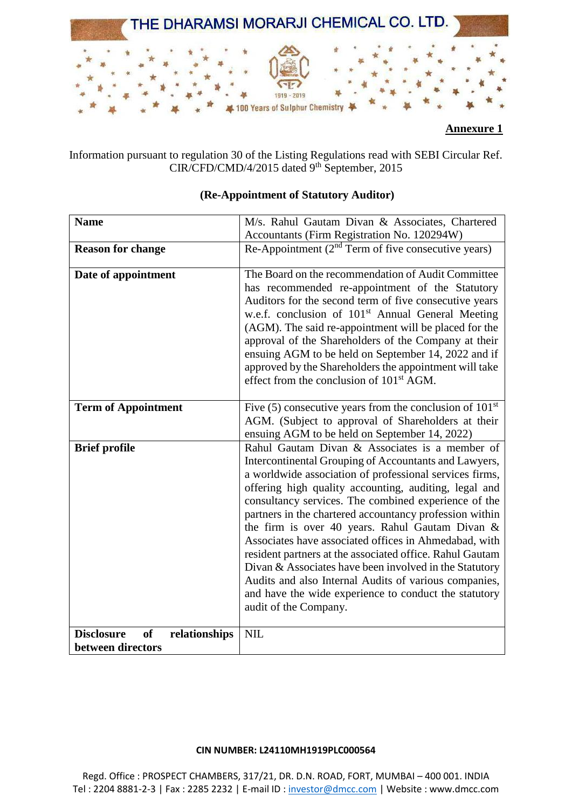

Information pursuant to regulation 30 of the Listing Regulations read with SEBI Circular Ref. CIR/CFD/CMD/4/2015 dated 9<sup>th</sup> September, 2015

| <b>Name</b>                                     | M/s. Rahul Gautam Divan & Associates, Chartered<br>Accountants (Firm Registration No. 120294W)                                                                                                                                                                                                                                                                                                                                                                                                                                                                                                                                                                                                                              |
|-------------------------------------------------|-----------------------------------------------------------------------------------------------------------------------------------------------------------------------------------------------------------------------------------------------------------------------------------------------------------------------------------------------------------------------------------------------------------------------------------------------------------------------------------------------------------------------------------------------------------------------------------------------------------------------------------------------------------------------------------------------------------------------------|
| <b>Reason for change</b>                        | Re-Appointment $(2nd Term of five consecutive years)$                                                                                                                                                                                                                                                                                                                                                                                                                                                                                                                                                                                                                                                                       |
| Date of appointment                             | The Board on the recommendation of Audit Committee<br>has recommended re-appointment of the Statutory<br>Auditors for the second term of five consecutive years<br>w.e.f. conclusion of 101 <sup>st</sup> Annual General Meeting<br>(AGM). The said re-appointment will be placed for the<br>approval of the Shareholders of the Company at their<br>ensuing AGM to be held on September 14, 2022 and if<br>approved by the Shareholders the appointment will take<br>effect from the conclusion of 101 <sup>st</sup> AGM.                                                                                                                                                                                                  |
| <b>Term of Appointment</b>                      | Five (5) consecutive years from the conclusion of $101st$<br>AGM. (Subject to approval of Shareholders at their<br>ensuing AGM to be held on September 14, 2022)                                                                                                                                                                                                                                                                                                                                                                                                                                                                                                                                                            |
| <b>Brief profile</b>                            | Rahul Gautam Divan & Associates is a member of<br>Intercontinental Grouping of Accountants and Lawyers,<br>a worldwide association of professional services firms,<br>offering high quality accounting, auditing, legal and<br>consultancy services. The combined experience of the<br>partners in the chartered accountancy profession within<br>the firm is over 40 years. Rahul Gautam Divan &<br>Associates have associated offices in Ahmedabad, with<br>resident partners at the associated office. Rahul Gautam<br>Divan & Associates have been involved in the Statutory<br>Audits and also Internal Audits of various companies,<br>and have the wide experience to conduct the statutory<br>audit of the Company. |
| relationships<br><b>Disclosure</b><br><b>of</b> | <b>NIL</b>                                                                                                                                                                                                                                                                                                                                                                                                                                                                                                                                                                                                                                                                                                                  |
| between directors                               |                                                                                                                                                                                                                                                                                                                                                                                                                                                                                                                                                                                                                                                                                                                             |

### **(Re-Appointment of Statutory Auditor)**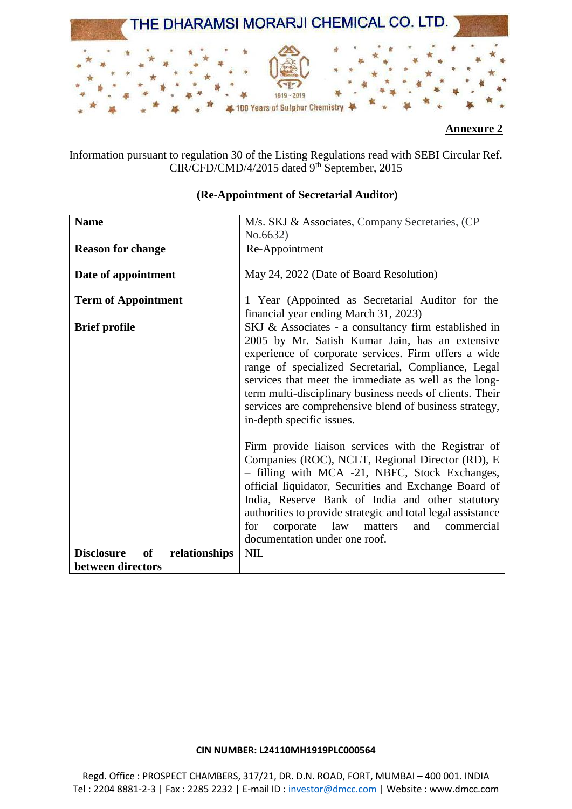

Information pursuant to regulation 30 of the Listing Regulations read with SEBI Circular Ref. CIR/CFD/CMD/4/2015 dated 9<sup>th</sup> September, 2015

| <b>Name</b>                                     | M/s. SKJ & Associates, Company Secretaries, (CP)            |
|-------------------------------------------------|-------------------------------------------------------------|
|                                                 | No.6632)                                                    |
| <b>Reason for change</b>                        | Re-Appointment                                              |
|                                                 |                                                             |
| Date of appointment                             | May 24, 2022 (Date of Board Resolution)                     |
|                                                 |                                                             |
| <b>Term of Appointment</b>                      | 1 Year (Appointed as Secretarial Auditor for the            |
|                                                 | financial year ending March 31, 2023)                       |
| <b>Brief profile</b>                            | SKJ & Associates - a consultancy firm established in        |
|                                                 | 2005 by Mr. Satish Kumar Jain, has an extensive             |
|                                                 | experience of corporate services. Firm offers a wide        |
|                                                 | range of specialized Secretarial, Compliance, Legal         |
|                                                 | services that meet the immediate as well as the long-       |
|                                                 | term multi-disciplinary business needs of clients. Their    |
|                                                 | services are comprehensive blend of business strategy,      |
|                                                 |                                                             |
|                                                 | in-depth specific issues.                                   |
|                                                 | Firm provide liaison services with the Registrar of         |
|                                                 | Companies (ROC), NCLT, Regional Director (RD), E            |
|                                                 | - filling with MCA -21, NBFC, Stock Exchanges,              |
|                                                 | official liquidator, Securities and Exchange Board of       |
|                                                 | India, Reserve Bank of India and other statutory            |
|                                                 |                                                             |
|                                                 | authorities to provide strategic and total legal assistance |
|                                                 | corporate law<br>and<br>matters<br>for<br>commercial        |
|                                                 | documentation under one roof.                               |
| <b>Disclosure</b><br><b>of</b><br>relationships | <b>NIL</b>                                                  |
| between directors                               |                                                             |

# **(Re-Appointment of Secretarial Auditor)**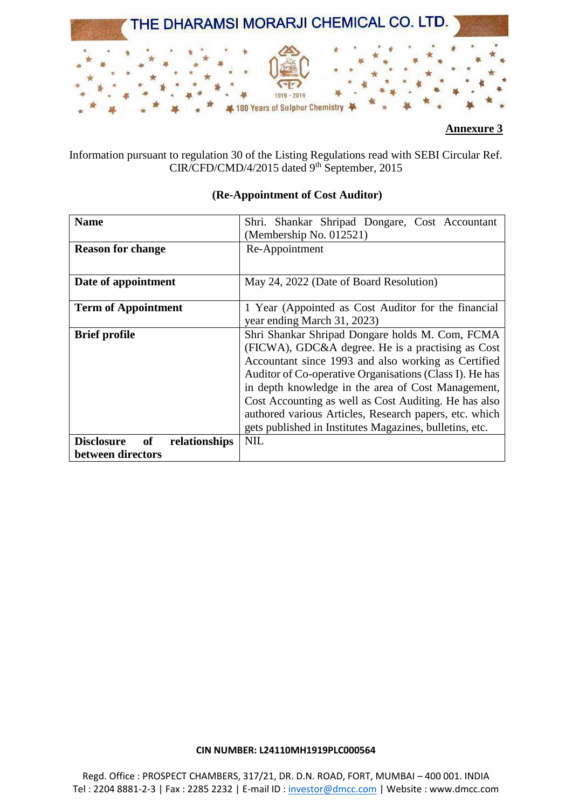

Information pursuant to regulation 30 of the Listing Regulations read with SEBI Circular Ref. CIR/CFD/CMD/4/2015 dated 9<sup>th</sup> September, 2015

| <b>Name</b>                              | Shri. Shankar Shripad Dongare, Cost Accountant          |
|------------------------------------------|---------------------------------------------------------|
|                                          | (Membership No. 012521)                                 |
| <b>Reason for change</b>                 | Re-Appointment                                          |
|                                          |                                                         |
| Date of appointment                      | May 24, 2022 (Date of Board Resolution)                 |
|                                          |                                                         |
| <b>Term of Appointment</b>               | 1 Year (Appointed as Cost Auditor for the financial     |
|                                          | year ending March 31, 2023)                             |
| <b>Brief profile</b>                     | Shri Shankar Shripad Dongare holds M. Com, FCMA         |
|                                          | (FICWA), GDC&A degree. He is a practising as Cost       |
|                                          | Accountant since 1993 and also working as Certified     |
|                                          | Auditor of Co-operative Organisations (Class I). He has |
|                                          | in depth knowledge in the area of Cost Management,      |
|                                          | Cost Accounting as well as Cost Auditing. He has also   |
|                                          | authored various Articles, Research papers, etc. which  |
|                                          | gets published in Institutes Magazines, bulletins, etc. |
| of<br><b>Disclosure</b><br>relationships | <b>NIL</b>                                              |
| between directors                        |                                                         |

# **(Re-Appointment of Cost Auditor)**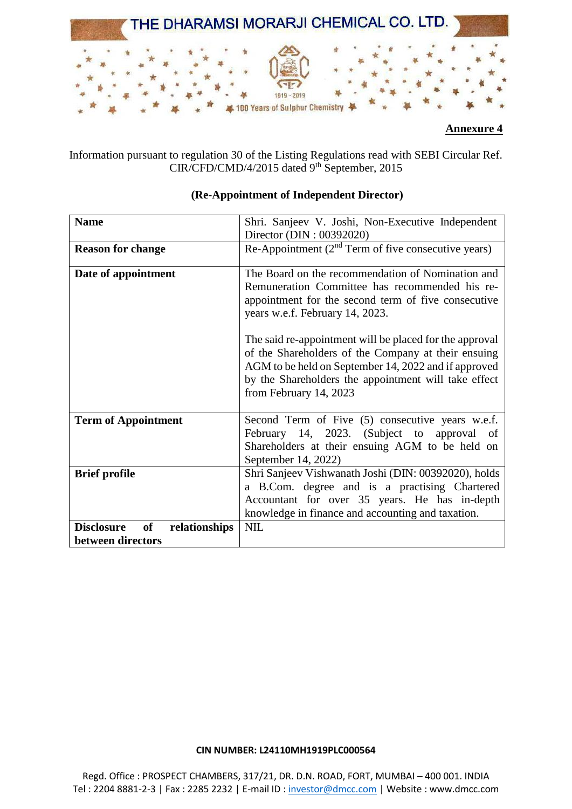

Information pursuant to regulation 30 of the Listing Regulations read with SEBI Circular Ref. CIR/CFD/CMD/4/2015 dated 9<sup>th</sup> September, 2015

| <b>Name</b>                                                   | Shri. Sanjeev V. Joshi, Non-Executive Independent                                                                                                                                                                                                        |
|---------------------------------------------------------------|----------------------------------------------------------------------------------------------------------------------------------------------------------------------------------------------------------------------------------------------------------|
|                                                               | Director (DIN: 00392020)                                                                                                                                                                                                                                 |
| <b>Reason for change</b>                                      | Re-Appointment $(2nd Term of five consecutive years)$                                                                                                                                                                                                    |
| Date of appointment                                           | The Board on the recommendation of Nomination and<br>Remuneration Committee has recommended his re-<br>appointment for the second term of five consecutive<br>years w.e.f. February 14, 2023.                                                            |
|                                                               | The said re-appointment will be placed for the approval<br>of the Shareholders of the Company at their ensuing<br>AGM to be held on September 14, 2022 and if approved<br>by the Shareholders the appointment will take effect<br>from February 14, 2023 |
| <b>Term of Appointment</b>                                    | Second Term of Five (5) consecutive years w.e.f.<br>February 14, 2023. (Subject to approval of<br>Shareholders at their ensuing AGM to be held on<br>September 14, 2022)                                                                                 |
| <b>Brief profile</b>                                          | Shri Sanjeev Vishwanath Joshi (DIN: 00392020), holds<br>a B.Com. degree and is a practising Chartered<br>Accountant for over 35 years. He has in-depth<br>knowledge in finance and accounting and taxation.                                              |
| of<br><b>Disclosure</b><br>relationships<br>between directors | <b>NIL</b>                                                                                                                                                                                                                                               |

# **(Re-Appointment of Independent Director)**